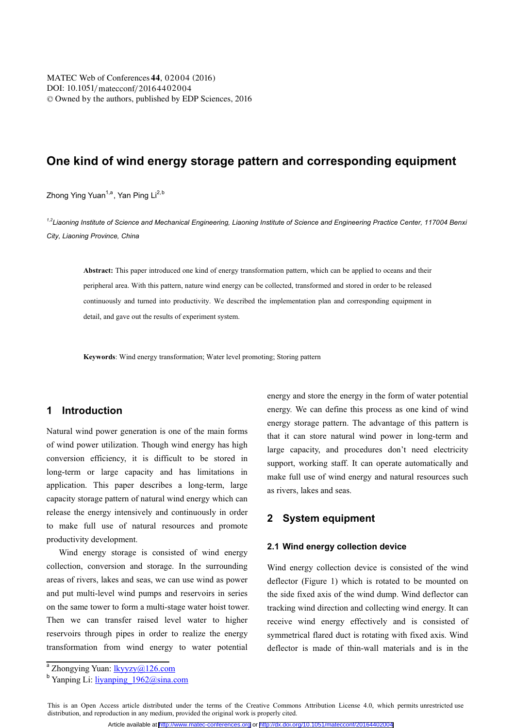# **One kind of wind energy storage pattern and corresponding equipment**

Zhong Ying Yuan<sup>ne</sup>, Yan Ping Li<sup>2,2</sup>

<sup>1,2</sup>Liaoning Institute of Science and Mechanical Engineering, Liaoning Institute of Science and Engineering Practice Center, 117004 Benxi *City, Liaoning Province, China*

**Abstract:** This paper introduced one kind of energy transformation pattern, which can be applied to oceans and their peripheral area. With this pattern, nature wind energy can be collected, transformed and stored in order to be released continuously and turned into productivity. We described the implementation plan and corresponding equipment in detail, and gave out the results of experiment system.

**Keywords**: Wind energy transformation; Water level promoting; Storing pattern

### **1 Introduction**

Natural wind power generation is one of the main forms of wind power utilization. Though wind energy has high conversion efficiency, it is difficult to be stored in long-term or large capacity and has limitations in application. This paper describes a long-term, large capacity storage pattern of natural wind energy which can release the energy intensively and continuously in order to make full use of natural resources and promote productivity development.

Wind energy storage is consisted of wind energy collection, conversion and storage. In the surrounding areas of rivers, lakes and seas, we can use wind as power and put multi-level wind pumps and reservoirs in series on the same tower to form a multi-stage water hoist tower. Then we can transfer raised level water to higher reservoirs through pipes in order to realize the energy transformation from wind energy to water potential

energy and store the energy in the form of water potential energy. We can define this process as one kind of wind energy storage pattern. The advantage of this pattern is that it can store natural wind power in long-term and large capacity, and procedures don't need electricity support, working staff. It can operate automatically and make full use of wind energy and natural resources such as rivers, lakes and seas.

## **2 System equipment**

#### **2.1 Wind energy collection device**

Wind energy collection device is consisted of the wind deflector (Figure 1) which is rotated to be mounted on the side fixed axis of the wind dump. Wind deflector can tracking wind direction and collecting wind energy. It can receive wind energy effectively and is consisted of symmetrical flared duct is rotating with fixed axis. Wind deflector is made of thin-wall materials and is in the

This is an Open Access article distributed under the terms of the Creative Commons Attribution License 4.0, which permits unrestricted use distribution, and reproduction in any medium, provided the original work is properly cited.

 $a$  Zhongying Yuan:  $\frac{1}{\text{kyyzy}(Q)126.\text{com}}$ 

b<br>
Yanping Li: <u>liyanping\_1962@sina.com</u>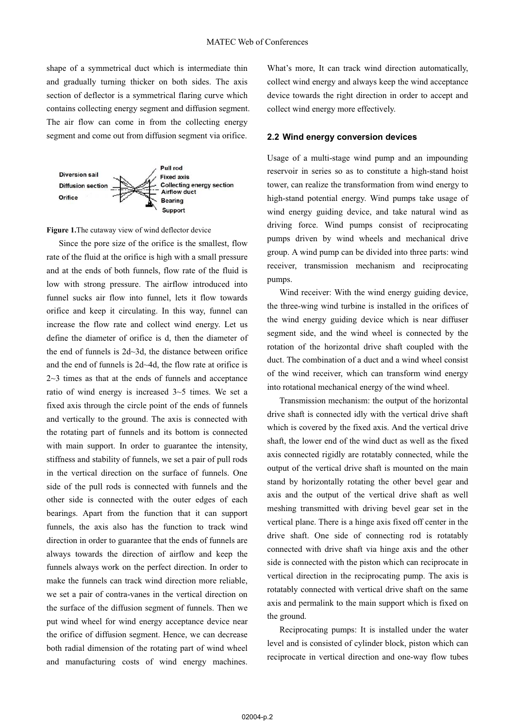shape of a symmetrical duct which is intermediate thin and gradually turning thicker on both sides. The axis section of deflector is a symmetrical flaring curve which contains collecting energy segment and diffusion segment. The air flow can come in from the collecting energy segment and come out from diffusion segment via orifice.



**Figure 1.**The cutaway view of wind deflector device

Since the pore size of the orifice is the smallest, flow rate of the fluid at the orifice is high with a small pressure and at the ends of both funnels, flow rate of the fluid is low with strong pressure. The airflow introduced into funnel sucks air flow into funnel, lets it flow towards orifice and keep it circulating. In this way, funnel can increase the flow rate and collect wind energy. Let us define the diameter of orifice is d, then the diameter of the end of funnels is 2d~3d, the distance between orifice and the end of funnels is 2d~4d, the flow rate at orifice is 2~3 times as that at the ends of funnels and acceptance ratio of wind energy is increased 3~5 times. We set a fixed axis through the circle point of the ends of funnels and vertically to the ground. The axis is connected with the rotating part of funnels and its bottom is connected with main support. In order to guarantee the intensity, stiffness and stability of funnels, we set a pair of pull rods in the vertical direction on the surface of funnels. One side of the pull rods is connected with funnels and the other side is connected with the outer edges of each bearings. Apart from the function that it can support funnels, the axis also has the function to track wind direction in order to guarantee that the ends of funnels are always towards the direction of airflow and keep the funnels always work on the perfect direction. In order to make the funnels can track wind direction more reliable, we set a pair of contra-vanes in the vertical direction on the surface of the diffusion segment of funnels. Then we put wind wheel for wind energy acceptance device near the orifice of diffusion segment. Hence, we can decrease both radial dimension of the rotating part of wind wheel and manufacturing costs of wind energy machines.

What's more, It can track wind direction automatically, collect wind energy and always keep the wind acceptance device towards the right direction in order to accept and collect wind energy more effectively.

### **2.2 Wind energy conversion devices**

Usage of a multi-stage wind pump and an impounding reservoir in series so as to constitute a high-stand hoist tower, can realize the transformation from wind energy to high-stand potential energy. Wind pumps take usage of wind energy guiding device, and take natural wind as driving force. Wind pumps consist of reciprocating pumps driven by wind wheels and mechanical drive group. A wind pump can be divided into three parts: wind receiver, transmission mechanism and reciprocating pumps.

Wind receiver: With the wind energy guiding device, the three-wing wind turbine is installed in the orifices of the wind energy guiding device which is near diffuser segment side, and the wind wheel is connected by the rotation of the horizontal drive shaft coupled with the duct. The combination of a duct and a wind wheel consist of the wind receiver, which can transform wind energy into rotational mechanical energy of the wind wheel.

Transmission mechanism: the output of the horizontal drive shaft is connected idly with the vertical drive shaft which is covered by the fixed axis. And the vertical drive shaft, the lower end of the wind duct as well as the fixed axis connected rigidly are rotatably connected, while the output of the vertical drive shaft is mounted on the main stand by horizontally rotating the other bevel gear and axis and the output of the vertical drive shaft as well meshing transmitted with driving bevel gear set in the vertical plane. There is a hinge axis fixed off center in the drive shaft. One side of connecting rod is rotatably connected with drive shaft via hinge axis and the other side is connected with the piston which can reciprocate in vertical direction in the reciprocating pump. The axis is rotatably connected with vertical drive shaft on the same axis and permalink to the main support which is fixed on the ground.

Reciprocating pumps: It is installed under the water level and is consisted of cylinder block, piston which can reciprocate in vertical direction and one-way flow tubes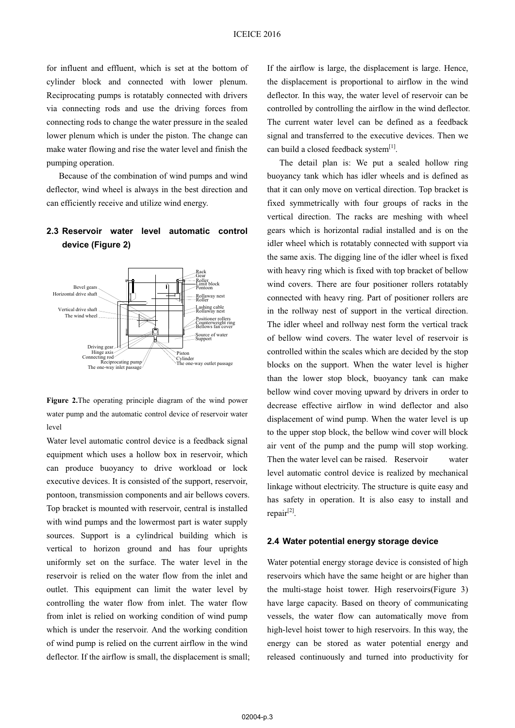for influent and effluent, which is set at the bottom of cylinder block and connected with lower plenum. Reciprocating pumps is rotatably connected with drivers via connecting rods and use the driving forces from connecting rods to change the water pressure in the sealed lower plenum which is under the piston. The change can make water flowing and rise the water level and finish the pumping operation.

Because of the combination of wind pumps and wind deflector, wind wheel is always in the best direction and can efficiently receive and utilize wind energy.

## **2.3 Reservoir water level automatic control device (Figure 2)**



**Figure 2.**The operating principle diagram of the wind power water pump and the automatic control device of reservoir water level

Water level automatic control device is a feedback signal equipment which uses a hollow box in reservoir, which can produce buoyancy to drive workload or lock executive devices. It is consisted of the support, reservoir, pontoon, transmission components and air bellows covers. Top bracket is mounted with reservoir, central is installed with wind pumps and the lowermost part is water supply sources. Support is a cylindrical building which is vertical to horizon ground and has four uprights uniformly set on the surface. The water level in the reservoir is relied on the water flow from the inlet and outlet. This equipment can limit the water level by controlling the water flow from inlet. The water flow from inlet is relied on working condition of wind pump which is under the reservoir. And the working condition of wind pump is relied on the current airflow in the wind deflector. If the airflow is small, the displacement is small;

If the airflow is large, the displacement is large. Hence, the displacement is proportional to airflow in the wind deflector. In this way, the water level of reservoir can be controlled by controlling the airflow in the wind deflector. The current water level can be defined as a feedback signal and transferred to the executive devices. Then we can build a closed feedback system<sup>[1]</sup>.

The detail plan is: We put a sealed hollow ring buoyancy tank which has idler wheels and is defined as that it can only move on vertical direction. Top bracket is fixed symmetrically with four groups of racks in the vertical direction. The racks are meshing with wheel gears which is horizontal radial installed and is on the idler wheel which is rotatably connected with support via the same axis. The digging line of the idler wheel is fixed with heavy ring which is fixed with top bracket of bellow wind covers. There are four positioner rollers rotatably connected with heavy ring. Part of positioner rollers are in the rollway nest of support in the vertical direction. The idler wheel and rollway nest form the vertical track of bellow wind covers. The water level of reservoir is controlled within the scales which are decided by the stop blocks on the support. When the water level is higher than the lower stop block, buoyancy tank can make bellow wind cover moving upward by drivers in order to decrease effective airflow in wind deflector and also displacement of wind pump. When the water level is up to the upper stop block, the bellow wind cover will block air vent of the pump and the pump will stop working. Then the water level can be raised. Reservoir water level automatic control device is realized by mechanical linkage without electricity. The structure is quite easy and has safety in operation. It is also easy to install and repair[2].

#### **2.4 Water potential energy storage device**

Water potential energy storage device is consisted of high reservoirs which have the same height or are higher than the multi-stage hoist tower. High reservoirs(Figure 3) have large capacity. Based on theory of communicating vessels, the water flow can automatically move from high-level hoist tower to high reservoirs. In this way, the energy can be stored as water potential energy and released continuously and turned into productivity for